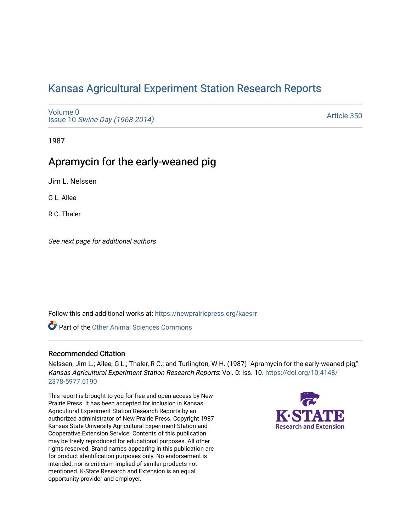# [Kansas Agricultural Experiment Station Research Reports](https://newprairiepress.org/kaesrr)

[Volume 0](https://newprairiepress.org/kaesrr/vol0) Issue 10 [Swine Day \(1968-2014\)](https://newprairiepress.org/kaesrr/vol0/iss10)

[Article 350](https://newprairiepress.org/kaesrr/vol0/iss10/350) 

1987

# Apramycin for the early-weaned pig

Jim L. Nelssen

G L. Allee

R C. Thaler

See next page for additional authors

Follow this and additional works at: [https://newprairiepress.org/kaesrr](https://newprairiepress.org/kaesrr?utm_source=newprairiepress.org%2Fkaesrr%2Fvol0%2Fiss10%2F350&utm_medium=PDF&utm_campaign=PDFCoverPages) 

**Part of the [Other Animal Sciences Commons](http://network.bepress.com/hgg/discipline/82?utm_source=newprairiepress.org%2Fkaesrr%2Fvol0%2Fiss10%2F350&utm_medium=PDF&utm_campaign=PDFCoverPages)** 

### Recommended Citation

Nelssen, Jim L.; Allee, G L.; Thaler, R C.; and Turlington, W H. (1987) "Apramycin for the early-weaned pig," Kansas Agricultural Experiment Station Research Reports: Vol. 0: Iss. 10. [https://doi.org/10.4148/](https://doi.org/10.4148/2378-5977.6190) [2378-5977.6190](https://doi.org/10.4148/2378-5977.6190) 

This report is brought to you for free and open access by New Prairie Press. It has been accepted for inclusion in Kansas Agricultural Experiment Station Research Reports by an authorized administrator of New Prairie Press. Copyright 1987 Kansas State University Agricultural Experiment Station and Cooperative Extension Service. Contents of this publication may be freely reproduced for educational purposes. All other rights reserved. Brand names appearing in this publication are for product identification purposes only. No endorsement is intended, nor is criticism implied of similar products not mentioned. K-State Research and Extension is an equal opportunity provider and employer.

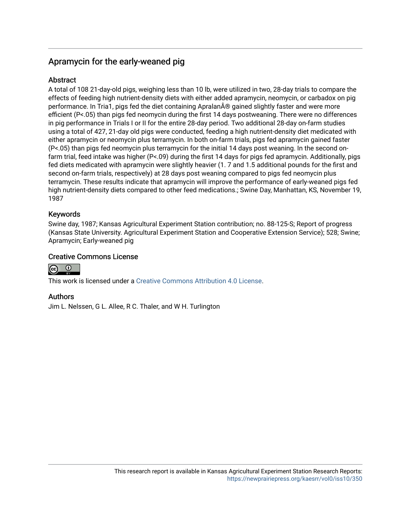# Apramycin for the early-weaned pig

## **Abstract**

A total of 108 21-day-old pigs, weighing less than 10 lb, were utilized in two, 28-day trials to compare the effects of feeding high nutrient-density diets with either added apramycin, neomycin, or carbadox on pig performance. In Tria1, pigs fed the diet containing Apralan® gained slightly faster and were more efficient (P<.05) than pigs fed neomycin during the first 14 days postweaning. There were no differences in pig performance in Trials I or II for the entire 28-day period. Two additional 28-day on-farm studies using a total of 427, 21-day old pigs were conducted, feeding a high nutrient-density diet medicated with either apramycin or neomycin plus terramycin. In both on-farm trials, pigs fed apramycin gained faster (P<.05) than pigs fed neomycin plus terramycin for the initial 14 days post weaning. In the second onfarm trial, feed intake was higher (P<.09) during the first 14 days for pigs fed apramycin. Additionally, pigs fed diets medicated with apramycin were slightly heavier (1. 7 and 1.5 additional pounds for the first and second on-farm trials, respectively) at 28 days post weaning compared to pigs fed neomycin plus terramycin. These results indicate that apramycin will improve the performance of early-weaned pigs fed high nutrient-density diets compared to other feed medications.; Swine Day, Manhattan, KS, November 19, 1987

## Keywords

Swine day, 1987; Kansas Agricultural Experiment Station contribution; no. 88-125-S; Report of progress (Kansas State University. Agricultural Experiment Station and Cooperative Extension Service); 528; Swine; Apramycin; Early-weaned pig

### Creative Commons License



This work is licensed under a [Creative Commons Attribution 4.0 License](https://creativecommons.org/licenses/by/4.0/).

## Authors

Jim L. Nelssen, G L. Allee, R C. Thaler, and W H. Turlington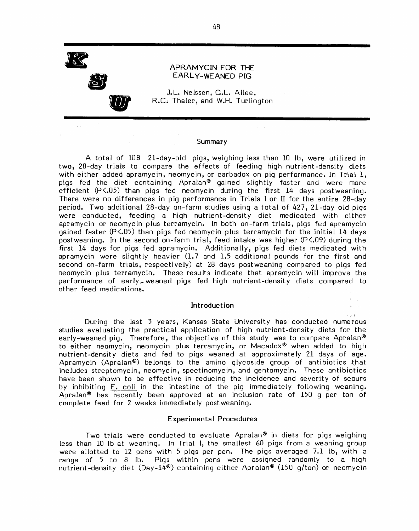

#### APRAMYCIN FOR THE EARLY-WEANED PIG

J.L. Nelssen, G.L. Allee, R.C. Thaler, and W.H. Turlington

#### Summary

A total of 108 21-day-old pigs, weighing less than 10 lb, were utilized in two, 28-day trials to compare the effects of feeding high nutrient-density diets with either added apramycin, neomycin, or carbadox on pig performance. In Trial 1, pigs fed the diet containing Apralan® gained slightly faster and were more efficient (P<.05) than pigs fed neomycin during the first 14 days postweaning. There were no differences in pig performance in Trials I or II for the entire 28-day period. Two additional 28-day on-farm studies using a total of 427, 21-day old pigs were conducted, feeding a high nutrient-density diet medicated with either apramycin or neomycin plus terramycin. In both on-farm trials, pigs fed apramycin gained faster (P<.05) than pigs fed neomycin plus terramycin for the initial 14 days postweaning. In the second on-farm trial, feed intake was higher (P<.09) during the first 14 days for pigs fed apramycin. Additionally, pigs fed diets medicated with apramycin were slightly heavier (1.7 and 1.5 additional pounds for the first and second on-farm trials, respectively) at 28 days postweaning compared to pigs fed neomycin plus terramycin. These results indicate that apramycin will improve the performance of early\_weaned piqs fed high nutrient-density diets compared to other feed medications.

#### Introduction

During the last 3 years, Kansas State University has conducted numerous studies evaluating the practical application of high nutrient-density diets for the early-weaned pig. Therefore, the objective of this study was to compare Apralan® to either neomycin, neomycin plus terramycin, or Mecadox® when added to high nutrient-density diets and fed to pigs weaned at approximately 21 days of age. Apramycin (Apralan®) belongs to the amino glycoside group of antibiotics that includes streptomycin, neomycin, spectinomycin, and gentomycin. These antibiotics have been shown to be effective in reducing the incidence and severity of scours by inhibiting E. coli in the intestine of the pig immediately following weaning. Apralan<sup>®</sup> has recently been approved at an inclusion rate of 150 q per ton of complete feed for 2 weeks immediately postweaning.

#### **Experimental Procedures**

Two trials were conducted to evaluate Apralan® in diets for pigs weighing less than 10 lb at weaning. In Trial I, the smallest 60 pigs from a weaning group were allotted to 12 pens with 5 pigs per pen. The pigs averaged 7.1 lb, with a range of 5 to 8 lb. Pigs within pens were assigned randomly to a high nutrient-density diet (Day-14<sup>®</sup>) containing either Apralan<sup>®</sup> (150 g/ton) or neomycin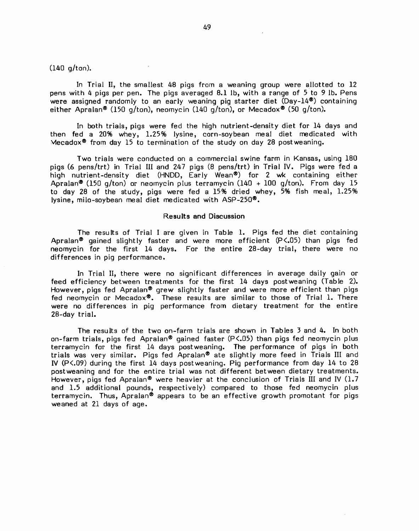$(140 g/ton).$ 

In Trial II, the smallest 48 pigs from a weaning group were allotted to 12 pens with 4 pigs per pen. The pigs averaged 8.1 lb, with a range of 5 to 9 lb. Pens were assigned randomly to an early weaning pig starter diet  $(Day-14^{\circledast})$  containing either Apralan® (150 g/ton), neomycin (140 g/ton), or Mecadox® (50 g/ton).

In both trials, pigs were fed the high nutrient-density diet for 14 days and then fed a 20% whey, 1.25% lysine, corn-soybean meal diet medicated with Mecadox<sup>®</sup> from day 15 to termination of the study on day 28 postweaning.

Two trials were conducted on a commercial swine farm in Kansas, using 180 pigs (6 pens/trt) in Trial III and 247 pigs (8 pens/trt) in Trial IV. Pigs were fed a high nutrient-density diet (HNDD, Early Wean®) for 2 wk containing either Apralan® (150 g/ton) or neomycin plus terramycin (140 + 100 g/ton). From day 15 to day 28 of the study, pigs were fed a 15% dried whey, 5% fish meal, 1.25% lysine, milo-soybean meal diet medicated with ASP-250<sup>®</sup>.

#### **Results and Discussion**

The results of Trial I are given in Table 1. Pigs fed the diet containing Apralan® gained slightly faster and were more efficient (P<.05) than pigs fed neomycin for the first 14 days. For the entire 28-day trial, there were no differences in pig performance.

In Trial II, there were no significant differences in average daily gain or feed efficiency between treatments for the first 14 days postweaning (Table 2). However, pigs fed Apralan® grew slightly faster and were more efficient than pigs fed neomycin or Mecadox®. These results are similar to those of Trial 1. There were no differences in pig performance from dietary treatment for the entire 28-day trial.

The results of the two on-farm trials are shown in Tables 3 and 4. In both on-farm trials, pigs fed Apralan® gained faster  $(P<.05)$  than pigs fed neomycin plus terramycin for the first 14 days postweaning. The performance of pigs in both trials was very similar. Pigs fed Apralan® ate slightly more feed in Trials III and IV (P<.09) during the first 14 days postweaning. Pig performance from day 14 to 28 postweaning and for the entire trial was not different between dietary treatments. However, pigs fed Apralan® were heavier at the conclusion of Trials III and IV (1.7 and 1.5 additional pounds, respectively) compared to those fed neomycin plus terramycin. Thus, Apralan® appears to be an effective growth promotant for pigs weaned at 21 days of age.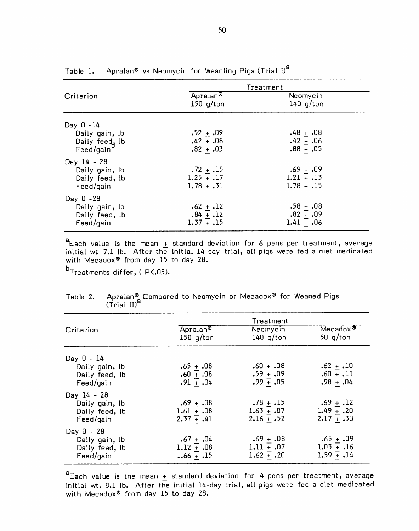|                                                               | Treatment                                   |                                             |  |  |
|---------------------------------------------------------------|---------------------------------------------|---------------------------------------------|--|--|
| Criterion                                                     | Apralan <sup>®</sup><br>$150$ g/ton         | Neomycin<br>$140$ g/ton                     |  |  |
| Day $0 - 14$<br>Daily gain, lb<br>Daily feed, lb<br>Feed/gain | $.52 + .09$<br>$.42 + .08$<br>$.82 + .03$   | $.48 + .08$<br>$.42 + .06$<br>$.88 + .05$   |  |  |
| Day 14 - 28<br>Daily gain, lb<br>Daily feed, lb<br>Feed/gain  | $.72 + .15$<br>$1.25 + .17$<br>$1.78 + .31$ | $.69 + .09$<br>$1.21 + .13$<br>$1.78 + .15$ |  |  |
| Day 0 -28<br>Daily gain, lb<br>Daily feed, lb<br>Feed/gain    | $.62 + .12$<br>$.84 + .12$<br>$1.37 + .15$  | $.58 + .08$<br>$.82 + .09$<br>$1.41 + .06$  |  |  |

Table 1. Apralan® vs Neomycin for Weanling Pigs (Trial I)<sup>a</sup>

 $a$  Each value is the mean  $\pm$  standard deviation for 6 pens per treatment, average initial wt 7.1 lb. After the initial 14-day trial, all pigs were fed a diet medicated with Mecadox® from day 15 to day 28.

b<sub>Treatments differ, (P<.05).</sub>

|                                                                |                                             | Treatment                                   |                                             |
|----------------------------------------------------------------|---------------------------------------------|---------------------------------------------|---------------------------------------------|
| Criterion                                                      | Apralan <sup>®</sup><br>$150$ g/ton         | Neomycin<br>140 $q/t$ on                    | $Mec$ adox $\overline{\bullet}$<br>50 g/ton |
| Day 0 - 14                                                     |                                             |                                             |                                             |
| Daily gain, lb<br>Daily feed, lb<br>Feed/gain                  | $.65 + .08$<br>$0.60 + .08$<br>$.91 + .04$  | $.60 + .08$<br>$.59 - .09$<br>$.99 - .05$   | $.62 + .10$<br>$.60 + .11$<br>$.98 + .04$   |
| Day $14 - 28$<br>Daily gain, lb<br>Daily feed, lb<br>Feed/gain | $.69 + .08$<br>$1.61 + .08$<br>$2.37 + .41$ | $.78 + .15$<br>$1.63 + .07$<br>$2.16 + .52$ | $.69 + .12$<br>$1.49 + .20$<br>$2.17 + .30$ |
| $Day 0 - 28$<br>Daily gain, lb<br>Daily feed, lb<br>Feed/gain  | $.67 + .04$<br>$1.12 + .08$<br>$1.66 + .15$ | $.69 + .08$<br>$1.11 + .07$<br>$1.62 + .20$ | $.65 + .09$<br>$1.03 + .16$<br>$1.59 + .14$ |

Apralan® Compared to Neomycin or Mecadox® for Weaned Pigs (Trial II)<sup>a</sup> Table 2.

 $a$  Each value is the mean  $\underline{+}$  standard deviation for 4 pens per treatment, average initial wt. 8.1 lb. After the initial 14-day trial, all pigs were fed a diet medicated with Mecadox® from day 15 to day 28.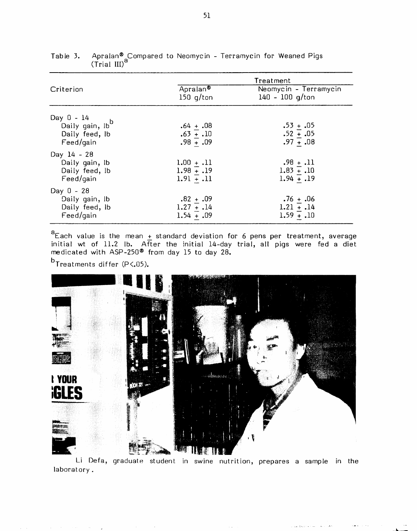|                                                                            | Treatment                                    |                                             |  |  |
|----------------------------------------------------------------------------|----------------------------------------------|---------------------------------------------|--|--|
| Criterion                                                                  | Apralan <sup>®</sup><br>150 $q/t$ on         | Neomycin - Terramycin<br>140 - 100 g/ton    |  |  |
| Day $0 - 14$<br>Daily gain, lb <sup>b</sup><br>Daily feed, lb<br>Feed/gain | $.64 + .08$<br>$.63 + .10$<br>$.98 - .09$    | $.53 + .05$<br>$.52 + .05$<br>$.97 - .08$   |  |  |
| Day 14 - 28<br>Daily gain, lb<br>Daily feed, lb<br>Feed/gain               | $1.00 + .11$<br>$1.98 + .19$<br>$1.91 + .11$ | $.98 + .11$<br>$1.83 + .10$<br>$1.94 - .19$ |  |  |
| $Day 0 - 28$<br>Daily gain, lb<br>Daily feed, lb<br>Feed/qain              | $.82 + .09$<br>$1.27 + .14$<br>$1.54 + .09$  | $.76 + .06$<br>$1.21 + .14$<br>$1.59 + .10$ |  |  |

| Table 3. Apralan® <sub>s</sub> Compared to Neomycin - Terramycin for Weaned Pigs |  |  |  |  |
|----------------------------------------------------------------------------------|--|--|--|--|
| $(Trial III)^o$                                                                  |  |  |  |  |

<sup>a</sup> Each value is the mean  $\pm$  standard deviation for 6 pens per treatment, average initial wt of 11.2 lb. After the initial 14-day trial, all pigs were fed a diet medicated with ASP-250<sup>®</sup> from day 15 to day 28.

 $^{\rm b}$ Treatments differ (P<.05).



Li Defa, graduate student in swine nutrition, prepares a sample in the laboratory.